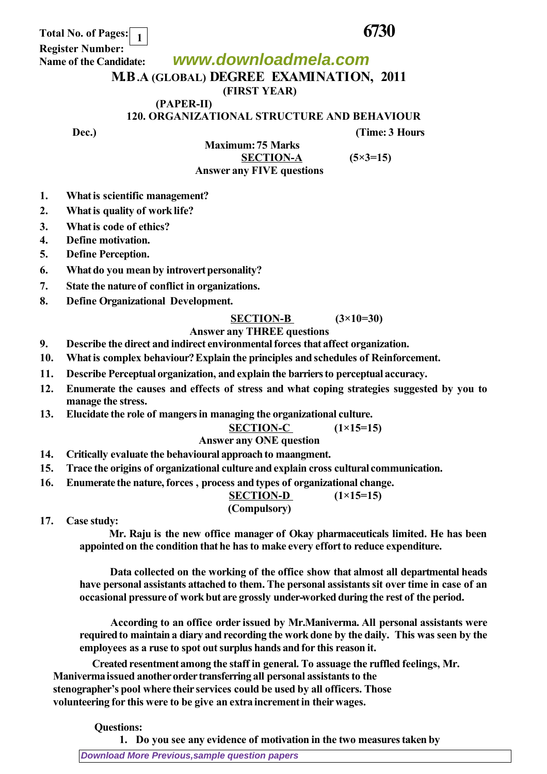**Total No. of Pages: 6730 1**

 **Register Number: Name of the Candidate:**

**www.downloadmela.com**

# **M.B.A (GLOBAL) DEGREE EXAMINATION, 2011**

**(FIRST YEAR)**

 **(PAPER-II)** 

**120. ORGANIZATIONAL STRUCTURE AND BEHAVIOUR**

**Dec.**) **CONS** *Dec. CONS CONS CONS CONS CONS CONS CONS CONS CONS CONS CONS CONS CONS CONS CONS CONS CONS CONS CONS CONS CONS CONS*

 **Maximum: 75 Marks SECTION-A (5×3=15)** *Answer any FIVE questions*

**1. What is scientific management?**

- **2. What is quality of work life?**
- **3. What is code of ethics?**
- **4. Define motivation.**
- **5. Define Perception.**
- **6. What do you mean by introvert personality?**
- **7. State the nature of conflict in organizations.**
- **8. Define Organizational Development.**

#### **SECTION-B (3×10=30)**

#### *Answer any THREE questions*

- **9. Describe the direct and indirect environmental forces that affect organization.**
- **10. What is complex behaviour? Explain the principles and schedules of Reinforcement.**
- **11. Describe Perceptual organization, and explain the barriers to perceptual accuracy.**
- **12. Enumerate the causes and effects of stress and what coping strategies suggested by you to manage the stress.**
- **13. Elucidate the role of mangers in managing the organizational culture.**

## **SECTION-C (1×15=15)**

### *Answer any ONE question*

- **14. Critically evaluate the behavioural approach to maangment.**
- **15. Trace the origins of organizational culture and explain cross cultural communication.**
- **16. Enumerate the nature, forces , process and types of organizational change.**

## **SECTION-D (1×15=15)**

#### *(Compulsory)*

**17. Case study:**

 **Mr. Raju is the new office manager of Okay pharmaceuticals limited. He has been appointed on the condition that he has to make every effort to reduce expenditure.**

 **Data collected on the working of the office show that almost all departmental heads have personal assistants attached to them. The personal assistants sit over time in case of an occasional pressure of work but are grossly under-worked during the rest of the period.**

 **According to an office order issued by Mr.Maniverma. All personal assistants were required to maintain a diary and recording the work done by the daily. This was seen by the employees as a ruse to spot out surplus hands and for this reason it.**

 **Created resentment among the staff in general. To assuage the ruffled feelings, Mr. Maniverma issued another order transferring all personal assistants to the stenographer's pool where their services could be used by all officers. Those volunteering for this were to be give an extra increment in their wages.**

 **Questions:**

**1. Do you see any evidence of motivation in the two measures taken by**